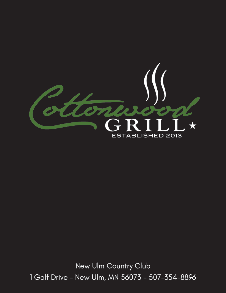

New Ulm Country Club 1 Golf Drive - New Ulm, MN 56073 - 507-354-8896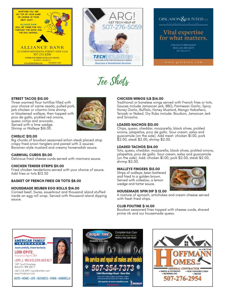





Tee Shots

# **STREET TACOS \$15.00**

Three warmed flour tortillas filled with your choice of carne asada, pulled pork, jerk chicken or cilantro-lime shrimp or blackened walleye, then topped with pico de gallo, pickled red onions, queso cotija and avocado. Served with a lime wedge. Shrimp or Walleye \$16.00.



# **CHISLIC \$13.00**

Big chunks of bourbon seasoned sirloin steak placed atop crispy fried onion tanglers and paired with 2 sauces: Bavarian-style mustard and creamy horseradish sauce.

# **CARNIVAL CURDS \$11.00**

Delicious fried cheese curds served with marinara sauce.

# **CHICKEN TENDER STRIPS \$11.00**

Fried chicken tenderloins served with your choice of sauce. Add fries or tots \$12.50

# **BASKET OF FRENCH FRIES OR TOTS \$8.00**

# **HOUSEMADE REUBEN EGG ROLLS \$14.00**

Corned beef, Swiss, sauerkraut and thousand island stuffed inside an egg roll wrap. Served with thousand island dipping sauce.

# **CHICKEN WINGS 1LB \$14.00**

Traditional or boneless wings served with French fries or tots. Sauces include Jamaican jerk, BBQ, Parmesan Garlic, Spicy Honey Garlic, Buffalo, Honey Mustard, Mango Habañero, Teriyaki or Naked. Dry Rubs include: Bourbon, Jamaican Jerk and Sriracha.

# **LOADED NACHOS \$13.00**

Chips, queso, cheddar, mozzarella, black olives, pickled onions, jalapeños, pico de gallo. Sour cream, salsa and guacamole (on the side). Add meat: chicken \$1.00, pork \$2.00, steak \$2.00, shrimp \$2.00.

### **LOADED TACHOS \$14.00**

Tots, queso, cheddar, mozzarella, black olives, pickled onions, jalapeños, pico de gallo. Sour cream, salsa and guacamole (on the side). Add: chicken \$1.00, pork \$2.00, steak \$2.00, shrimp \$2.00.

#### **WALLEYE FINGERS \$15.00**

Strips of walleye, beer-battered and fried to a golden brown. Served with coleslaw, a lemon wedge and tartar sauce.



# **HOUSEMADE SPIN DIP \$ 12.00**

A mixture of spinach, artichokes and cream cheese served with fresh fried chips.

#### **CLUB POUTINE \$ 14.00**

Bourbon seasoned fries topped with cheese curds, shaved prime rib and our housemade queso.





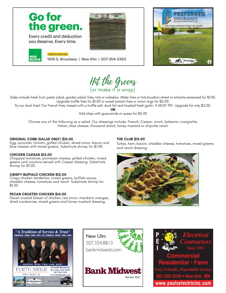



Sides include fresh fruit, pasta salad, garden salad, fries, tots or coleslaw. Make fries or tots bourbon street or sriracha seasoned for \$1.00. Upgrade truffle fries for \$1.00 or sweet potato fries or onion rings for \$2.00.

Try our duck fries! Our French fries, tossed with a truffle salt, duck fat and toasted fresh garlic. A MUST TRY. Upgrade for only \$2.00.

**OR** 

Add chips with guacamole or queso for \$2.00

Choose any of the following as a salad. Our dressings include: French, Caesar, ranch, balsamic vinaigrette, Italian, blue cheese, thousand island, honey mustard or chipotle ranch

# **ORIGINAL COBB (SALAD ONLY) \$15.00**

Egg, avocado, tomato, grilled chicken, diced onion, bacon and blue cheese with mixed greens. Substitute shrimp for \$1.00.

#### **CHICKEN CAESAR \$13.00**

Chopped tomatoes, parmesan cheese, grilled chicken, mixed greens and croutons served with Caesar dressing. Substitute shrimp for \$1.00.

#### **CRISPY BUFFALO CHICKEN \$13.00**

Crispy chicken tenderloin, mixed greens, buffalo sauce, cheddar cheese, tomatoes and ranch. Substitute shrimp for \$1.00.

#### **PECAN CRUSTED CHICKEN \$14.00**

Pecan crusted breast of chicken, red onion, mandarin oranges, dried cranberries, mixed greens and honey mustard dressing.

# **THE CLUB \$13.00**

Turkey, ham, bacon, cheddar cheese, tomatoes, mixed greens and ranch dressing.











233-5735 · New Ulm, MN www.paulselectricinc.com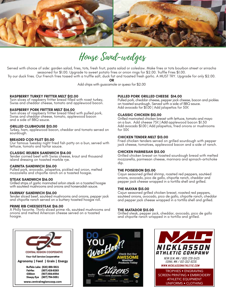

House Sand-wedges

Served with choice of side: garden salad, fries, tots, fresh fruit, pasta salad or coleslaw. Make fries or tots bourbon street or sriracha seasoned for \$1.00. Upgrade to sweet potato fries or onion rings for \$2.00. Truffle Fries \$1.00.

Try our duck fries. Our French fries tossed with a truffle salt, duck fat and toasted fresh garlic. A MUST TRY. Upgrade for only \$2.00.

**OR**

Add chips with guacamole or queso for \$2.00

# **RASPBERRY TURKEY FRITTER MELT \$12.00**

Twin slices of raspberry fritter bread filled with roast turkey, Swiss and cheddar cheese, tomato and applewood bacon.

# **RASPBERRY PORK FRITTER MELT \$14.00**

Twin slices of raspberry fritter bread filled with pulled pork, Swiss and cheddar cheese, tomato, applewood bacon and a side of BBQ sauce.

# **GRILLED CLUBHOUSE \$13.00**

Turkey, ham, applewood bacon, cheddar and tomato served on sourdough.

# **BREADED COD FILET \$11.00**

Our famous Tuesday night fried fish patty on a bun, served with lettuce, tomato and tartar sauce.

#### **CLASSIC REUBEN SANDWICH \$14.00**

Tender corned beef with Swiss cheese, kraut and thousand island dressing on toasted marble rye.

#### **CARNITA SANDWICH \$16.00**

Pulled pork, avocado, jalapeños, pickled red onion, melted mozzarella and chipotle ranch on a toasted hoagie.

#### **STEAK SANDWICH \$16.00**

Grilled strips of garlic marinated sirloin steak on a toasted hoagie with sautéed mushrooms and onions and horseradish sauce.

#### **FAIRWAY SANDWICH \$16.00**

Tender sliced beef, sautéed mushrooms and onions, pepper jack and chipotle ranch served on a buttery toasted hoagie roll.

#### **PRIME RIB CHEESESTEAK \$16.00**

A Philly favorite. Thinly sliced prime rib, sautéed mushrooms and onions and melted American cheese served on a toasted hoagie.

# **PULLED PORK GRILLED CHEESE \$14.00**

Pulled pork, cheddar cheese, pepper jack cheese, bacon and pickles on toasted sourdough. Served with a side of BBQ sauce. Add avocado for \$1.00 | Add jalapeños for 50¢

# **CLASSIC CHICKEN \$12.00**

Grilled marinated chicken breast with lettuce, tomato and mayo on a bun. Add cheese 75¢ | Add applewood bacon \$1.50 Add avocado \$1.00 | Add jalapeños, fried onions or mushrooms for 50¢

# **CHICKEN TENDER MELT \$13.00**

Fried chicken tenders served on grilled sourdough with pepper jack cheese, tomatoes, applewood bacon and a side of ranch.

#### **CHICKEN PARMESAN \$15.00**

Grilled chicken breast on toasted sourdough bread with melted mozzarella, parmesan cheese, marinara and spinach-artichoke dip.

#### **THE POISEIDON \$15.00**

Cajun seasoned grilled shrimp, roasted red peppers, sautéed onions, avocado, pico de gallo, chipotle ranch, cheddar and pepper jack cheese wrapped in a tortilla shell and grilled.

#### **THE MAYAN \$15.00**

Cajun seasoned grilled chicken breast, roasted red peppers, sautéed onions, avocado, pico de gallo, chipotle ranch, cheddar and pepper jack cheese wrapped in a tortilla shell and grilled.

#### **THE MATADOR \$15.00**

Grilled steak, pepper jack, cheddar, avocado, pico de gallo and chipotle ranch wrapped in a tortilla and grilled.



www.centralregioncoop.com





EDINA, MN / 612-352-9226 WWW.NICKLASSONATHLETIC.COM

TROPHIES • ENGRAVING SCREEN PRINTING • EMBROIDERY ATHLETIC EQUIPMENT UNIFORMS • CLOTHING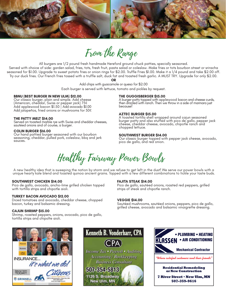

From the Range

All burgers are 1/2 pound fresh handmade Hereford ground chuck patties, specially seasoned.

Served with choice of side: garden salad, fries, tots, fresh fruit, pasta salad or coleslaw. Make fries or tots bourbon street or sriracha seasoned for \$1.00. Upgrade to sweet potato fries or onion rings for \$2.00. Truffle Fries \$1.00. Make it a 1/4 pound and take \$2.00 off. Try our duck fries. Our French fries tossed with a truffle salt, duck fat and toasted fresh garlic. A MUST TRY. Upgrade for only \$2.00.

**OR**

Add chips with guacamole or queso for \$2.00

Each burger is served with lettuce, tomato and pickles by request.

#### **BBNU (BEST BURGER IN NEW ULM) \$12.00**

Our classic burger, plain and simple. Add cheese (American, cheddar, Swiss or pepper jack) 75¢ Add applewood bacon \$1.50 | Add avocado \$1.00 Add jalapeños, fried onions or mushrooms for 50¢

#### **THE PATTY MELT \$14.00**

Served on toasted marble rye with Swiss and cheddar cheeses, sautéed onions and of course, a burger.

#### **COLIN BURGER \$16.00**

Our hand pattied burger seasoned with our bourbon seasoning, cheddar, pulled pork, coleslaw, bbq and jerk sauces.

#### **THE GUGGISBERGER \$15.00**

A burger patty topped with applewood bacon and cheese curds, then drizzled with ranch. Then we throw in a side of marinara just because!

#### **AZTEC BURGER \$15.00**

A toasted tortilla shell wrapped around cajun seasoned burger patty and also stuffed with pico de gallo, pepper jack cheese, cheddar cheese, avocado, chipotle ranch and chopped lettuce.

#### **SOUTHWEST BURGER \$14.00**

Our classic burger topped with pepper jack cheese, avocado, pico de gallo, and red onion.

Healthy Fairway Power Bowls

A new healthy idea that is sweeping the nation by storm and we refuse to get left in the dust! We serve our power bowls with a unique hearty kale blend and toasted quinoa ancient grains. Topped with a few different combinations to tickle your taste buds.

#### **SOUTHWEST CHICKEN \$14.00**

Pico de gallo, avocado, ancho-lime grilled chicken topped with tortilla strips and chipotle aioli.

#### **TURKEY BACON AVOCADO \$12.00**

Diced tomatoes and avocado, cheddar cheese, chopped bacon, turkey and balsamic dressing.

#### **CAJUN SHRIMP \$15.00**

Shrimp, roasted peppers, onions, avocado, pico de gallo, tortilla strips and chipolte aioli.

#### **FAJITA STEAK \$14.00**

Pico de gallo, sautéed onions, roasted red peppers, grilled strips of steak and chipotle ranch.

#### **VEGGIE \$14.00**

Sautéed mushrooms, sautéed onions, peppers, pico de gallo, grilled cheese, avocado and balsamic vinaigrette dressing.